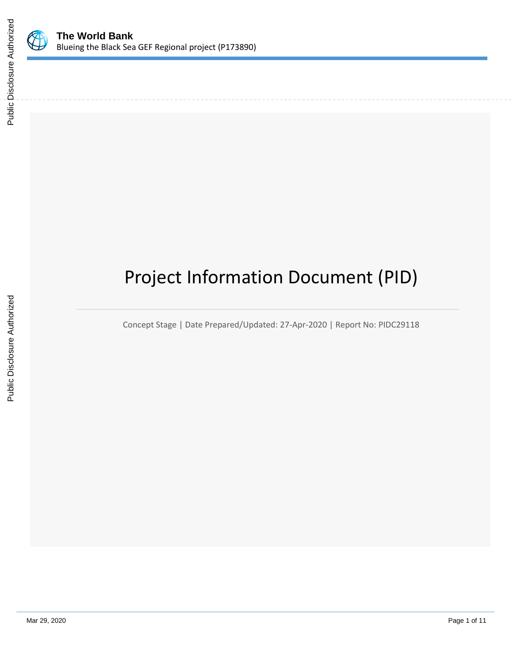

# Project Information Document (PID)

Concept Stage | Date Prepared/Updated: 27-Apr-2020 | Report No: PIDC29118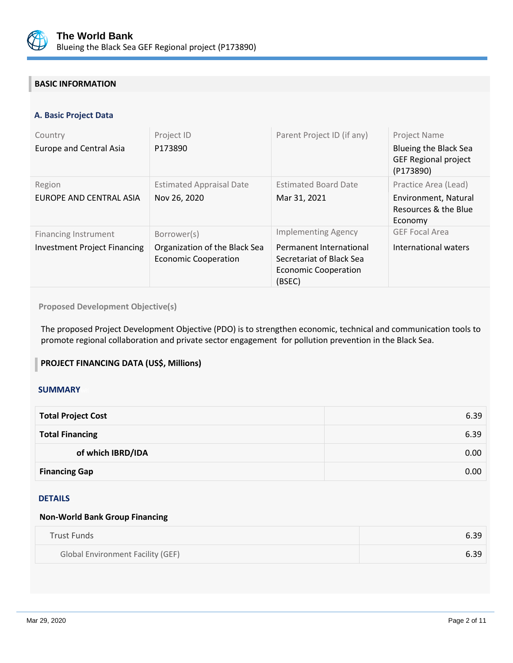

## **BASIC INFORMATION**

## **A. Basic Project Data**

| Country<br><b>Europe and Central Asia</b>                   | Project ID<br>P173890                                                       | Parent Project ID (if any)                                                                                                 | <b>Project Name</b><br><b>Blueing the Black Sea</b><br><b>GEF Regional project</b><br>(P173890) |
|-------------------------------------------------------------|-----------------------------------------------------------------------------|----------------------------------------------------------------------------------------------------------------------------|-------------------------------------------------------------------------------------------------|
| Region<br>EUROPE AND CENTRAL ASIA                           | <b>Estimated Appraisal Date</b><br>Nov 26, 2020                             | <b>Estimated Board Date</b><br>Mar 31, 2021                                                                                | Practice Area (Lead)<br>Environment, Natural<br>Resources & the Blue<br>Economy                 |
| Financing Instrument<br><b>Investment Project Financing</b> | Borrower(s)<br>Organization of the Black Sea<br><b>Economic Cooperation</b> | <b>Implementing Agency</b><br>Permanent International<br>Secretariat of Black Sea<br><b>Economic Cooperation</b><br>(BSEC) | <b>GEF Focal Area</b><br>International waters                                                   |

## **Proposed Development Objective(s)**

The proposed Project Development Objective (PDO) is to strengthen economic, technical and communication tools to promote regional collaboration and private sector engagement for pollution prevention in the Black Sea.

## **PROJECT FINANCING DATA (US\$, Millions)**

#### **SUMMARY**

| <b>Total Project Cost</b> | 6.39 |
|---------------------------|------|
| <b>Total Financing</b>    | 6.39 |
| of which IBRD/IDA         | 0.00 |
| <b>Financing Gap</b>      | 0.00 |

## DETAILS

#### **Non-World Bank Group Financing**

| Trust Funds                              | 6.39 |
|------------------------------------------|------|
| <b>Global Environment Facility (GEF)</b> | 6.39 |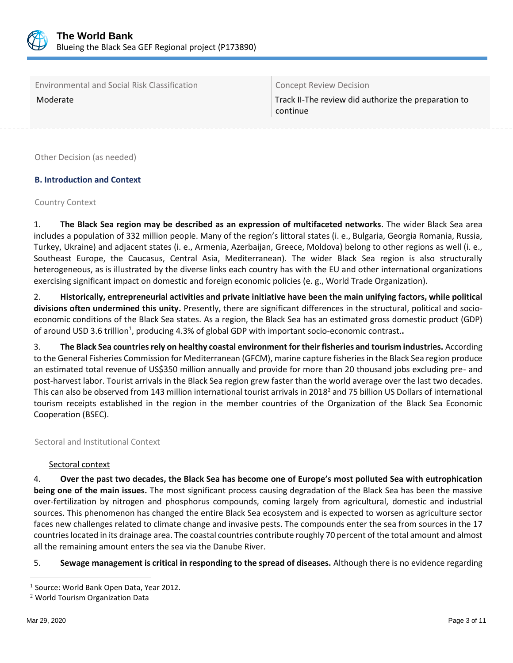

Environmental and Social Risk Classification Concept Review Decision

Moderate Track II-The review did authorize the preparation to continue

Other Decision (as needed)

## **B. Introduction and Context**

#### Country Context

1. **The Black Sea region may be described as an expression of multifaceted networks**. The wider Black Sea area includes a population of 332 million people. Many of the region's littoral states (i. e., Bulgaria, Georgia Romania, Russia, Turkey, Ukraine) and adjacent states (i. e., Armenia, Azerbaijan, Greece, Moldova) belong to other regions as well (i. e., Southeast Europe, the Caucasus, Central Asia, Mediterranean). The wider Black Sea region is also structurally heterogeneous, as is illustrated by the diverse links each country has with the EU and other international organizations exercising significant impact on domestic and foreign economic policies (e. g., World Trade Organization).

2. **Historically, entrepreneurial activities and private initiative have been the main unifying factors, while political divisions often undermined this unity.** Presently, there are significant differences in the structural, political and socioeconomic conditions of the Black Sea states. As a region, the Black Sea has an estimated gross domestic product (GDP) of around USD 3.6 trillion<sup>1</sup>, producing 4.3% of global GDP with important socio-economic contrast..

3. **The Black Sea countries rely on healthy coastal environment for their fisheries and tourism industries.** According to the General Fisheries Commission for Mediterranean (GFCM), marine capture fisheries in the Black Sea region produce an estimated total revenue of US\$350 million annually and provide for more than 20 thousand jobs excluding pre- and post-harvest labor. Tourist arrivals in the Black Sea region grew faster than the world average over the last two decades. This can also be observed from 143 million international tourist arrivals in 2018<sup>2</sup> and 75 billion US Dollars of international tourism receipts established in the region in the member countries of the Organization of the Black Sea Economic Cooperation (BSEC).

## Sectoral and Institutional Context

## Sectoral context

4. **Over the past two decades, the Black Sea has become one of Europe's most polluted Sea with eutrophication being one of the main issues.** The most significant process causing degradation of the Black Sea has been the massive over-fertilization by nitrogen and phosphorus compounds, coming largely from agricultural, domestic and industrial sources. This phenomenon has changed the entire Black Sea ecosystem and is expected to worsen as agriculture sector faces new challenges related to climate change and invasive pests. The compounds enter the sea from sources in the 17 countries located in its drainage area. The coastal countries contribute roughly 70 percent of the total amount and almost all the remaining amount enters the sea via the Danube River.

5. **Sewage management is critical in responding to the spread of diseases.** Although there is no evidence regarding

<sup>&</sup>lt;sup>1</sup> Source: World Bank Open Data, Year 2012.

<sup>2</sup> World Tourism Organization Data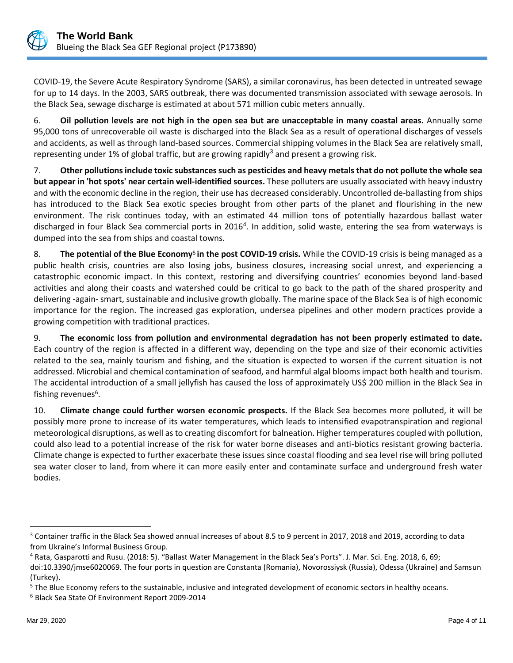

COVID-19, the Severe Acute Respiratory Syndrome (SARS), a similar coronavirus, has been detected in untreated sewage for up to 14 days. In the 2003, SARS outbreak, there was documented transmission associated with sewage aerosols. In the Black Sea, sewage discharge is estimated at about 571 million cubic meters annually.

6. **Oil pollution levels are not high in the open sea but are unacceptable in many coastal areas.** Annually some 95,000 tons of unrecoverable oil waste is discharged into the Black Sea as a result of operational discharges of vessels and accidents, as well as through land-based sources. Commercial shipping volumes in the Black Sea are relatively small, representing under 1% of global traffic, but are growing rapidly<sup>3</sup> and present a growing risk.

7. **Other pollutions include toxic substances such as pesticides and heavy metals that do not pollute the whole sea but appear in 'hot spots' near certain well-identified sources.** These polluters are usually associated with heavy industry and with the economic decline in the region, their use has decreased considerably. Uncontrolled de-ballasting from ships has introduced to the Black Sea exotic species brought from other parts of the planet and flourishing in the new environment. The risk continues today, with an estimated 44 million tons of potentially hazardous ballast water discharged in four Black Sea commercial ports in 2016<sup>4</sup>. In addition, solid waste, entering the sea from waterways is dumped into the sea from ships and coastal towns.

8. The potential of the Blue Economy<sup>5</sup> in the post COVID-19 crisis. While the COVID-19 crisis is being managed as a public health crisis, countries are also losing jobs, business closures, increasing social unrest, and experiencing a catastrophic economic impact. In this context, restoring and diversifying countries' economies beyond land-based activities and along their coasts and watershed could be critical to go back to the path of the shared prosperity and delivering -again- smart, sustainable and inclusive growth globally. The marine space of the Black Sea is of high economic importance for the region. The increased gas exploration, undersea pipelines and other modern practices provide a growing competition with traditional practices.

9. **The economic loss from pollution and environmental degradation has not been properly estimated to date.**  Each country of the region is affected in a different way, depending on the type and size of their economic activities related to the sea, mainly tourism and fishing, and the situation is expected to worsen if the current situation is not addressed. Microbial and chemical contamination of seafood, and harmful algal blooms impact both health and tourism. The accidental introduction of a small jellyfish has caused the loss of approximately US\$ 200 million in the Black Sea in fishing revenues<sup>6</sup> .

10. **Climate change could further worsen economic prospects.** If the Black Sea becomes more polluted, it will be possibly more prone to increase of its water temperatures, which leads to intensified evapotranspiration and regional meteorological disruptions, as well as to creating discomfort for balneation. Higher temperatures coupled with pollution, could also lead to a potential increase of the risk for water borne diseases and anti-biotics resistant growing bacteria. Climate change is expected to further exacerbate these issues since coastal flooding and sea level rise will bring polluted sea water closer to land, from where it can more easily enter and contaminate surface and underground fresh water bodies.

<sup>&</sup>lt;sup>3</sup> Container traffic in the Black Sea showed annual increases of about 8.5 to 9 percent in 2017, 2018 and 2019, according to data from Ukraine's Informal Business Group.

<sup>4</sup> Rata, Gasparotti and Rusu. (2018: 5). "Ballast Water Management in the Black Sea's Ports". J. Mar. Sci. Eng. 2018, 6, 69;

doi:10.3390/jmse6020069. The four ports in question are Constanta (Romania), Novorossiysk (Russia), Odessa (Ukraine) and Samsun (Turkey).

<sup>&</sup>lt;sup>5</sup> The Blue Economy refers to the sustainable, inclusive and integrated development of economic sectors in healthy oceans.

<sup>6</sup> Black Sea State Of Environment Report 2009-2014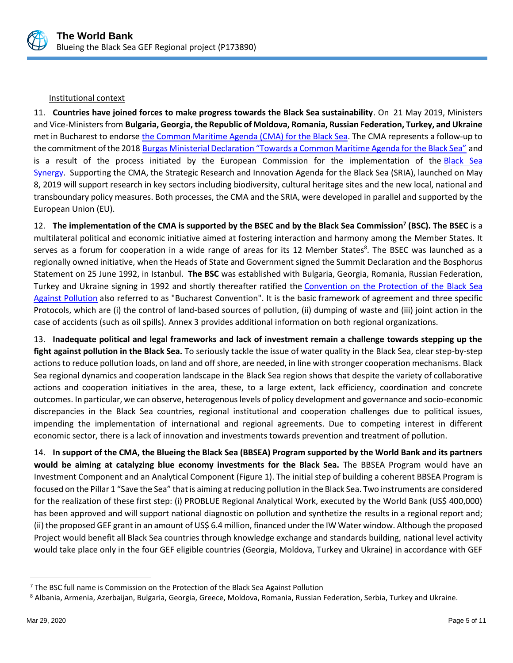

## Institutional context

11. **Countries have joined forces to make progress towards the Black Sea sustainability**. On 21 May 2019, Ministers and Vice-Ministers from **Bulgaria, Georgia, the Republic of Moldova, Romania, Russian Federation, Turkey, and Ukraine** met in Bucharest to endorse the Common [Maritime](https://ec.europa.eu/maritimeaffairs/press/black-sea-ministers-endorse-common-maritime-agenda_en) Agenda (CMA) for the Black Sea. The CMA represents a follow-up to the commitment of the 2018 [Burgas Ministerial Declaration "Towards a Common Maritime Agenda for the Black Sea"](https://ec.europa.eu/maritimeaffairs/maritimeday/sites/mare-emd/files/burgas-ministerial-declaration_en.pdf) and is a result of the process initiated by the European Commission for the implementation of the [Black Sea](https://eeas.europa.eu/diplomatic-network/black-sea-synergy/346/black-sea-synergy_en)  [Synergy.](https://eeas.europa.eu/diplomatic-network/black-sea-synergy/346/black-sea-synergy_en) Supporting the CMA, the Strategic Research and Innovation Agenda for the Black Sea (SRIA), launched on May 8, 2019 will support research in key sectors including biodiversity, cultural heritage sites and the new local, national and transboundary policy measures. Both processes, the CMA and the SRIA, were developed in parallel and supported by the European Union (EU).

12. The implementation of the CMA is supported by the BSEC and by the Black Sea Commission<sup>7</sup> (BSC). The BSEC is a multilateral political and economic initiative aimed at fostering interaction and harmony among the Member States. It serves as a forum for cooperation in a wide range of areas for its 12 Member States<sup>8</sup>. The BSEC was launched as a regionally owned initiative, when the Heads of State and Government signed the Summit Declaration and the Bosphorus Statement on 25 June 1992, in Istanbul. **The BSC** was established with Bulgaria, Georgia, Romania, Russian Federation, Turkey and Ukraine signing in 1992 and shortly thereafter ratified the [Convention](http://www.blacksea-commission.org/Official%20Documents/The%20Convention/Overview/) on the Protection of the Black Sea Against [Pollution](http://www.blacksea-commission.org/Official%20Documents/The%20Convention/Overview/) also referred to as "Bucharest Convention". It is the basic framework of agreement and three specific Protocols, which are (i) the control of land-based sources of pollution, (ii) dumping of waste and (iii) joint action in the case of accidents (such as oil spills). Annex 3 provides additional information on both regional organizations.

13. **Inadequate political and legal frameworks and lack of investment remain a challenge towards stepping up the fight against pollution in the Black Sea.** To seriously tackle the issue of water quality in the Black Sea, clear step-by-step actions to reduce pollution loads, on land and off shore, are needed, in line with stronger cooperation mechanisms. Black Sea regional dynamics and cooperation landscape in the Black Sea region shows that despite the variety of collaborative actions and cooperation initiatives in the area, these, to a large extent, lack efficiency, coordination and concrete outcomes. In particular, we can observe, heterogenous levels of policy development and governance and socio-economic discrepancies in the Black Sea countries, regional institutional and cooperation challenges due to political issues, impending the implementation of international and regional agreements. Due to competing interest in different economic sector, there is a lack of innovation and investments towards prevention and treatment of pollution.

14. **In support of the CMA, the Blueing the Black Sea (BBSEA) Program supported by the World Bank and its partners would be aiming at catalyzing blue economy investments for the Black Sea.** The BBSEA Program would have an Investment Component and an Analytical Component (Figure 1). The initial step of building a coherent BBSEA Program is focused on the Pillar 1 "Save the Sea" that is aiming at reducing pollution in the Black Sea. Two instruments are considered for the realization of these first step: (i) PROBLUE Regional Analytical Work, executed by the World Bank (US\$ 400,000) has been approved and will support national diagnostic on pollution and synthetize the results in a regional report and; (ii) the proposed GEF grant in an amount of US\$ 6.4 million, financed under the IW Water window. Although the proposed Project would benefit all Black Sea countries through knowledge exchange and standards building, national level activity would take place only in the four GEF eligible countries (Georgia, Moldova, Turkey and Ukraine) in accordance with GEF

 $<sup>7</sup>$  The BSC full name is Commission on the Protection of the Black Sea Against Pollution</sup>

<sup>8</sup> Albania, Armenia, Azerbaijan, Bulgaria, Georgia, Greece, Moldova, Romania, Russian Federation, Serbia, Turkey and Ukraine.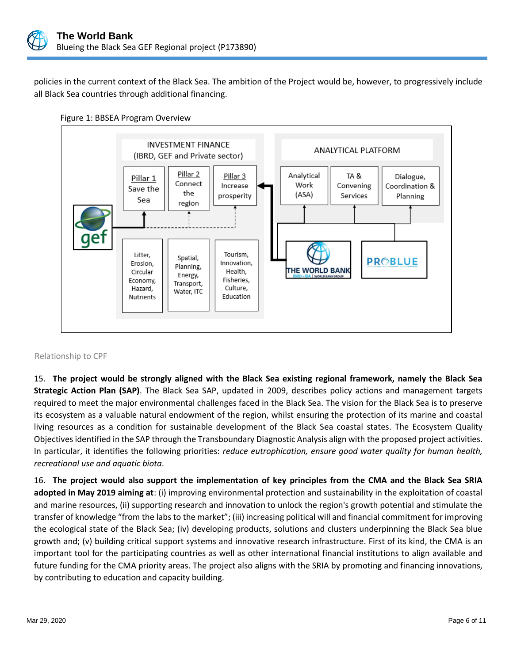

policies in the current context of the Black Sea. The ambition of the Project would be, however, to progressively include all Black Sea countries through additional financing.





## Relationship to CPF

15. **The project would be strongly aligned with the Black Sea existing regional framework, namely the Black Sea Strategic Action Plan (SAP)**. The Black Sea SAP, updated in 2009, describes policy actions and management targets required to meet the major environmental challenges faced in the Black Sea. The vision for the Black Sea is to preserve its ecosystem as a valuable natural endowment of the region, whilst ensuring the protection of its marine and coastal living resources as a condition for sustainable development of the Black Sea coastal states. The Ecosystem Quality Objectives identified in the SAP through the Transboundary Diagnostic Analysis align with the proposed project activities. In particular, it identifies the following priorities: *reduce eutrophication, ensure good water quality for human health, recreational use and aquatic biota*.

16. **The project would also support the implementation of key principles from the CMA and the Black Sea SRIA adopted in May 2019 aiming at**: (i) improving environmental protection and sustainability in the exploitation of coastal and marine resources, (ii) supporting research and innovation to unlock the region's growth potential and stimulate the transfer of knowledge "from the labs to the market"; (iii) increasing political will and financial commitment for improving the ecological state of the Black Sea; (iv) developing products, solutions and clusters underpinning the Black Sea blue growth and; (v) building critical support systems and innovative research infrastructure. First of its kind, the CMA is an important tool for the participating countries as well as other international financial institutions to align available and future funding for the CMA priority areas. The project also aligns with the SRIA by promoting and financing innovations, by contributing to education and capacity building.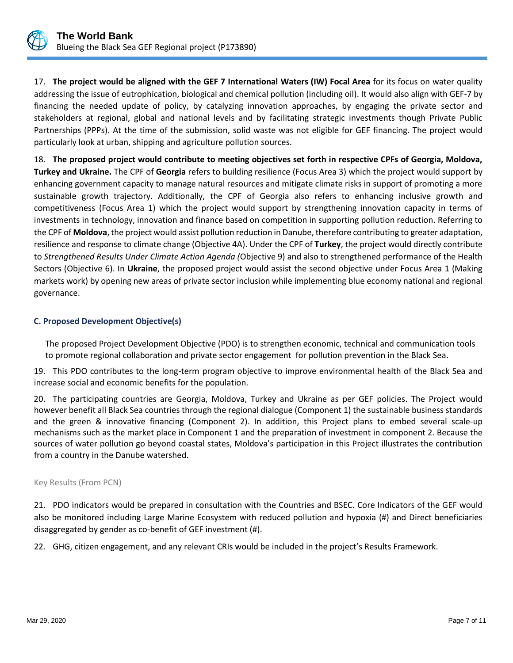

17. **The project would be aligned with the GEF 7 International Waters (IW) Focal Area** for its focus on water quality addressing the issue of eutrophication, biological and chemical pollution (including oil). It would also align with GEF-7 by financing the needed update of policy, by catalyzing innovation approaches, by engaging the private sector and stakeholders at regional, global and national levels and by facilitating strategic investments though Private Public Partnerships (PPPs). At the time of the submission, solid waste was not eligible for GEF financing. The project would particularly look at urban, shipping and agriculture pollution sources.

18. **The proposed project would contribute to meeting objectives set forth in respective CPFs of Georgia, Moldova, Turkey and Ukraine.** The CPF of **Georgia** refers to building resilience (Focus Area 3) which the project would support by enhancing government capacity to manage natural resources and mitigate climate risks in support of promoting a more sustainable growth trajectory. Additionally, the CPF of Georgia also refers to enhancing inclusive growth and competitiveness (Focus Area 1) which the project would support by strengthening innovation capacity in terms of investments in technology, innovation and finance based on competition in supporting pollution reduction. Referring to the CPF of **Moldova**, the project would assist pollution reduction in Danube, therefore contributing to greater adaptation, resilience and response to climate change (Objective 4A). Under the CPF of **Turkey**, the project would directly contribute to *Strengthened Results Under Climate Action Agenda (*Objective 9) and also to strengthened performance of the Health Sectors (Objective 6). In **Ukraine**, the proposed project would assist the second objective under Focus Area 1 (Making markets work) by opening new areas of private sector inclusion while implementing blue economy national and regional governance.

## **C. Proposed Development Objective(s)**

The proposed Project Development Objective (PDO) is to strengthen economic, technical and communication tools to promote regional collaboration and private sector engagement for pollution prevention in the Black Sea.

19. This PDO contributes to the long-term program objective to improve environmental health of the Black Sea and increase social and economic benefits for the population.

20. The participating countries are Georgia, Moldova, Turkey and Ukraine as per GEF policies. The Project would however benefit all Black Sea countries through the regional dialogue (Component 1) the sustainable business standards and the green & innovative financing (Component 2). In addition, this Project plans to embed several scale-up mechanisms such as the market place in Component 1 and the preparation of investment in component 2. Because the sources of water pollution go beyond coastal states, Moldova's participation in this Project illustrates the contribution from a country in the Danube watershed.

## Key Results (From PCN)

21. PDO indicators would be prepared in consultation with the Countries and BSEC. Core Indicators of the GEF would also be monitored including Large Marine Ecosystem with reduced pollution and hypoxia (#) and Direct beneficiaries disaggregated by gender as co-benefit of GEF investment (#).

22. GHG, citizen engagement, and any relevant CRIs would be included in the project's Results Framework.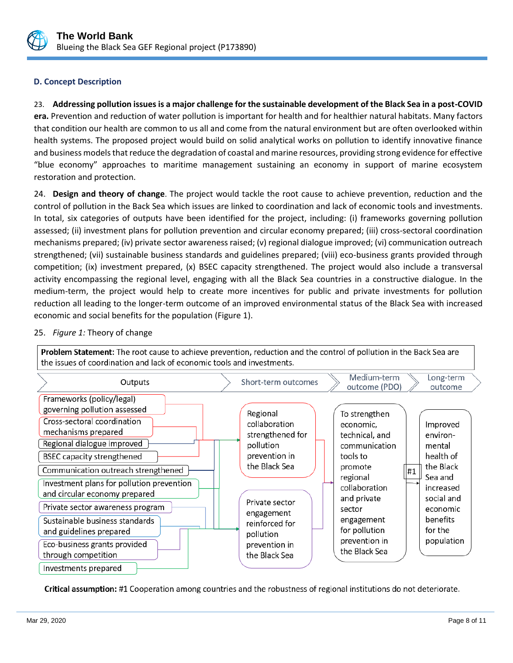

## **D. Concept Description**

23. **Addressing pollution issues is a major challenge for the sustainable development of the Black Sea in a post-COVID era.** Prevention and reduction of water pollution is important for health and for healthier natural habitats. Many factors that condition our health are common to us all and come from the natural environment but are often overlooked within health systems. The proposed project would build on solid analytical works on pollution to identify innovative finance and business models that reduce the degradation of coastal and marine resources, providing strong evidence for effective "blue economy" approaches to maritime management sustaining an economy in support of marine ecosystem restoration and protection.

24. **Design and theory of change**. The project would tackle the root cause to achieve prevention, reduction and the control of pollution in the Back Sea which issues are linked to coordination and lack of economic tools and investments. In total, six categories of outputs have been identified for the project, including: (i) frameworks governing pollution assessed; (ii) investment plans for pollution prevention and circular economy prepared; (iii) cross-sectoral coordination mechanisms prepared; (iv) private sector awareness raised; (v) regional dialogue improved; (vi) communication outreach strengthened; (vii) sustainable business standards and guidelines prepared; (viii) eco-business grants provided through competition; (ix) investment prepared, (x) BSEC capacity strengthened. The project would also include a transversal activity encompassing the regional level, engaging with all the Black Sea countries in a constructive dialogue. In the medium-term, the project would help to create more incentives for public and private investments for pollution reduction all leading to the longer-term outcome of an improved environmental status of the Black Sea with increased economic and social benefits for the population (Figure 1).



## 25. *Figure 1:* Theory of change

Critical assumption: #1 Cooperation among countries and the robustness of regional institutions do not deteriorate.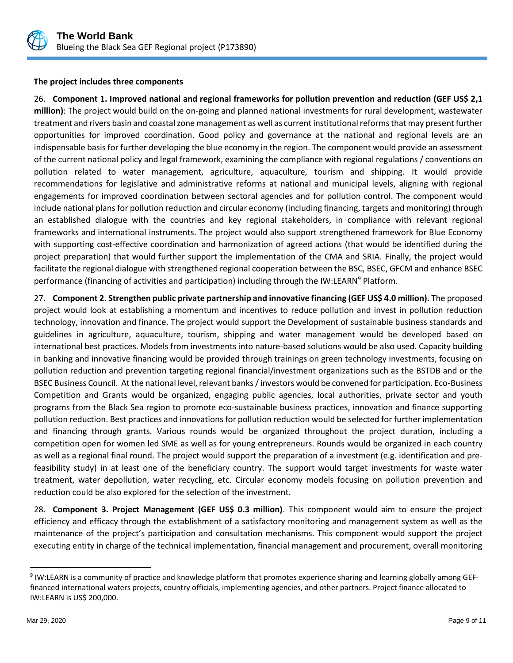

#### **The project includes three components**

26. **Component 1. Improved national and regional frameworks for pollution prevention and reduction (GEF US\$ 2,1 million)**: The project would build on the on-going and planned national investments for rural development, wastewater treatment and rivers basin and coastal zone management as well as current institutional reforms that may present further opportunities for improved coordination. Good policy and governance at the national and regional levels are an indispensable basis for further developing the blue economy in the region. The component would provide an assessment of the current national policy and legal framework, examining the compliance with regional regulations / conventions on pollution related to water management, agriculture, aquaculture, tourism and shipping. It would provide recommendations for legislative and administrative reforms at national and municipal levels, aligning with regional engagements for improved coordination between sectoral agencies and for pollution control. The component would include national plans for pollution reduction and circular economy (including financing, targets and monitoring) through an established dialogue with the countries and key regional stakeholders, in compliance with relevant regional frameworks and international instruments. The project would also support strengthened framework for Blue Economy with supporting cost-effective coordination and harmonization of agreed actions (that would be identified during the project preparation) that would further support the implementation of the CMA and SRIA. Finally, the project would facilitate the regional dialogue with strengthened regional cooperation between the BSC, BSEC, GFCM and enhance BSEC performance (financing of activities and participation) including through the IW:LEARN<sup>9</sup> Platform.

27. **Component 2. Strengthen public private partnership and innovative financing (GEF US\$ 4.0 million).** The proposed project would look at establishing a momentum and incentives to reduce pollution and invest in pollution reduction technology, innovation and finance. The project would support the Development of sustainable business standards and guidelines in agriculture, aquaculture, tourism, shipping and water management would be developed based on international best practices. Models from investments into nature-based solutions would be also used. Capacity building in banking and innovative financing would be provided through trainings on green technology investments, focusing on pollution reduction and prevention targeting regional financial/investment organizations such as the BSTDB and or the BSEC Business Council. At the national level, relevant banks / investors would be convened for participation. Eco-Business Competition and Grants would be organized, engaging public agencies, local authorities, private sector and youth programs from the Black Sea region to promote eco-sustainable business practices, innovation and finance supporting pollution reduction. Best practices and innovations for pollution reduction would be selected for further implementation and financing through grants. Various rounds would be organized throughout the project duration, including a competition open for women led SME as well as for young entrepreneurs. Rounds would be organized in each country as well as a regional final round. The project would support the preparation of a investment (e.g. identification and prefeasibility study) in at least one of the beneficiary country. The support would target investments for waste water treatment, water depollution, water recycling, etc. Circular economy models focusing on pollution prevention and reduction could be also explored for the selection of the investment.

28. **Component 3. Project Management (GEF US\$ 0.3 million)**. This component would aim to ensure the project efficiency and efficacy through the establishment of a satisfactory monitoring and management system as well as the maintenance of the project's participation and consultation mechanisms. This component would support the project executing entity in charge of the technical implementation, financial management and procurement, overall monitoring

<sup>&</sup>lt;sup>9</sup> IW:LEARN is a community of practice and knowledge platform that promotes experience sharing and learning globally among GEFfinanced international waters projects, country officials, implementing agencies, and other partners. Project finance allocated to IW:LEARN is US\$ 200,000.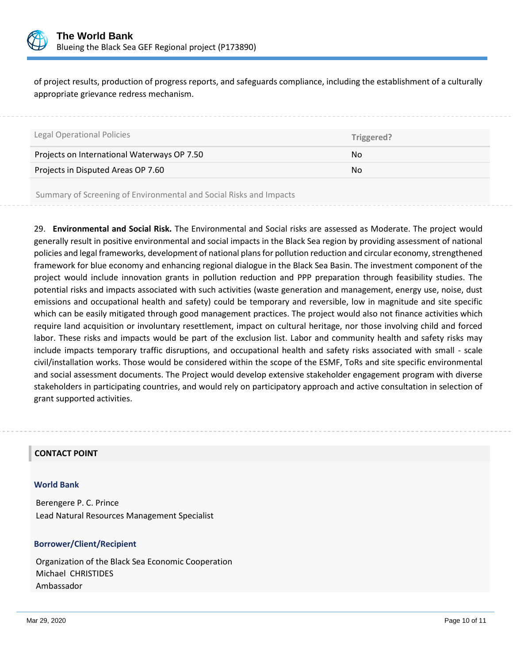

of project results, production of progress reports, and safeguards compliance, including the establishment of a culturally appropriate grievance redress mechanism.

| <b>Legal Operational Policies</b>                                                                              | Triggered? |
|----------------------------------------------------------------------------------------------------------------|------------|
| Projects on International Waterways OP 7.50                                                                    | No.        |
| Projects in Disputed Areas OP 7.60                                                                             | No.        |
| a for for the set of the set of the set of the set of the set of the set of the set of the set of the set of t |            |

Summary of Screening of Environmental and Social Risks and Impacts

29. **Environmental and Social Risk.** The Environmental and Social risks are assessed as Moderate. The project would generally result in positive environmental and social impacts in the Black Sea region by providing assessment of national policies and legal frameworks, development of national plans for pollution reduction and circular economy, strengthened framework for blue economy and enhancing regional dialogue in the Black Sea Basin. The investment component of the project would include innovation grants in pollution reduction and PPP preparation through feasibility studies. The potential risks and impacts associated with such activities (waste generation and management, energy use, noise, dust emissions and occupational health and safety) could be temporary and reversible, low in magnitude and site specific which can be easily mitigated through good management practices. The project would also not finance activities which require land acquisition or involuntary resettlement, impact on cultural heritage, nor those involving child and forced labor. These risks and impacts would be part of the exclusion list. Labor and community health and safety risks may include impacts temporary traffic disruptions, and occupational health and safety risks associated with small - scale civil/installation works. Those would be considered within the scope of the ESMF, ToRs and site specific environmental and social assessment documents. The Project would develop extensive stakeholder engagement program with diverse stakeholders in participating countries, and would rely on participatory approach and active consultation in selection of grant supported activities.

## **CONTACT POINT**

#### **World Bank**

Berengere P. C. Prince Lead Natural Resources Management Specialist

## **Borrower/Client/Recipient**

Organization of the Black Sea Economic Cooperation Michael CHRISTIDES Ambassador